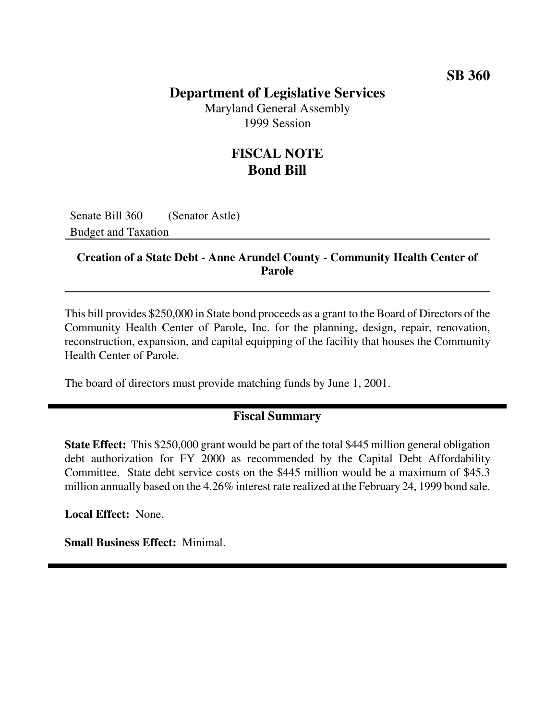### **SB 360**

## **Department of Legislative Services**

Maryland General Assembly 1999 Session

## **FISCAL NOTE Bond Bill**

Senate Bill 360 (Senator Astle) Budget and Taxation

#### **Creation of a State Debt - Anne Arundel County - Community Health Center of Parole**

This bill provides \$250,000 in State bond proceeds as a grant to the Board of Directors of the Community Health Center of Parole, Inc. for the planning, design, repair, renovation, reconstruction, expansion, and capital equipping of the facility that houses the Community Health Center of Parole.

The board of directors must provide matching funds by June 1, 2001.

#### **Fiscal Summary**

**State Effect:** This \$250,000 grant would be part of the total \$445 million general obligation debt authorization for FY 2000 as recommended by the Capital Debt Affordability Committee. State debt service costs on the \$445 million would be a maximum of \$45.3 million annually based on the 4.26% interest rate realized at the February 24, 1999 bond sale.

**Local Effect:** None.

**Small Business Effect:** Minimal.